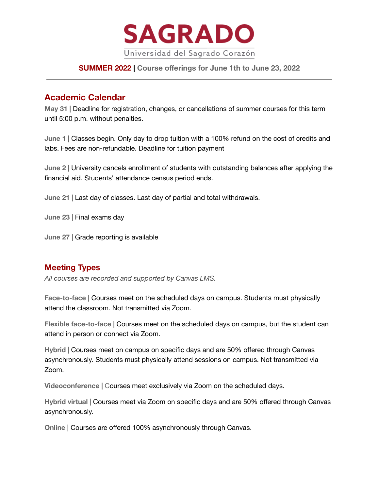

## **SUMMER 2022 | Course offerings for June 1th to June 23, 2022**

# **Academic Calendar**

**May 31 |** Deadline for registration, changes, or cancellations of summer courses for this term until 5:00 p.m. without penalties.

**June 1 |** Classes begin. Only day to drop tuition with a 100% refund on the cost of credits and labs. Fees are non-refundable. Deadline for tuition payment

**June 2 |** University cancels enrollment of students with outstanding balances after applying the financial aid. Students' attendance census period ends.

**June 21 |** Last day of classes. Last day of partial and total withdrawals.

**June 23 |** Final exams day

**June 27 |** Grade reporting is available

# **Meeting Types**

*All courses are recorded and supported by Canvas LMS.*

**Face-to-face |** Courses meet on the scheduled days on campus. Students must physically attend the classroom. Not transmitted via Zoom.

**Flexible face-to-face |** Courses meet on the scheduled days on campus, but the student can attend in person or connect via Zoom.

**Hybrid |** Courses meet on campus on specific days and are 50% offered through Canvas asynchronously. Students must physically attend sessions on campus. Not transmitted via Zoom.

**Videoconference |** Courses meet exclusively via Zoom on the scheduled days.

**Hybrid virtual |** Courses meet via Zoom on specific days and are 50% offered through Canvas asynchronously.

**Online |** Courses are offered 100% asynchronously through Canvas.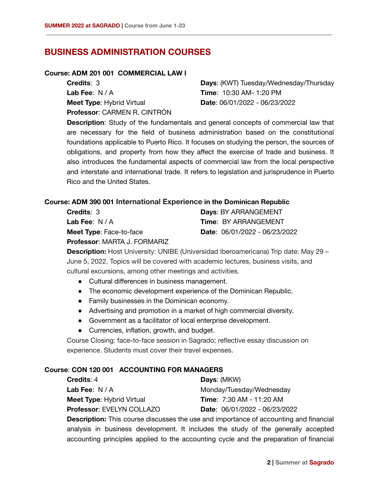# **BUSINESS ADMINISTRATION COURSES**

#### **Course: ADM 201 001 COMMERCIAL LAW I**

| <b>Credits: 3</b>                | Days: (KWT) Tuesday/Wednesday/Thursday |
|----------------------------------|----------------------------------------|
| Lab Fee: N/A                     | <b>Time: 10:30 AM- 1:20 PM</b>         |
| <b>Meet Type: Hybrid Virtual</b> | Date: 06/01/2022 - 06/23/2022          |
| Professor: CARMEN R. CINTRÓN     |                                        |

**Description**: Study of the fundamentals and general concepts of commercial law that are necessary for the field of business administration based on the constitutional foundations applicable to Puerto Rico. It focuses on studying the person, the sources of obligations, and property from how they affect the exercise of trade and business. It also introduces the fundamental aspects of commercial law from the local perspective and interstate and international trade. It refers to legislation and jurisprudence in Puerto Rico and the United States.

### **Course: ADM 390 001 International Experience in the Dominican Republic**

| <b>Credits</b> : 3             | <b>Days: BY ARRANGEMENT</b>          |
|--------------------------------|--------------------------------------|
| <b>Lab Fee</b> : N / A         | <b>Time: BY ARRANGEMENT</b>          |
| <b>Meet Type: Face-to-face</b> | <b>Date: 06/01/2022 - 06/23/2022</b> |
| Professor: MARTA J. FORMARIZ   |                                      |

**Description:** Host University: UNIBE (Universidad Iberoamericana) Trip date: May 29 – June 5, 2022. Topics will be covered with academic lectures, business visits, and cultural excursions, among other meetings and activities.

- Cultural differences in business management.
- The economic development experience of the Dominican Republic.
- Family businesses in the Dominican economy.
- Advertising and promotion in a market of high commercial diversity.
- Government as a facilitator of local enterprise development.
- Currencies, inflation, growth, and budget.

Course Closing: face-to-face session in Sagrado; reflective essay discussion on experience. Students must cover their travel expenses.

### **Course**: **CON 120 001 ACCOUNTING FOR MANAGERS**

| <b>Credits: 4</b>                | Days: (MKW)                          |
|----------------------------------|--------------------------------------|
| Lab Fee: $N/A$                   | Monday/Tuesday/Wednesday             |
| <b>Meet Type: Hybrid Virtual</b> | <b>Time: 7:30 AM - 11:20 AM</b>      |
| <b>Professor: EVELYN COLLAZO</b> | <b>Date: 06/01/2022 - 06/23/2022</b> |

**Description:** This course discusses the use and importance of accounting and financial analysis in business development. It includes the study of the generally accepted accounting principles applied to the accounting cycle and the preparation of financial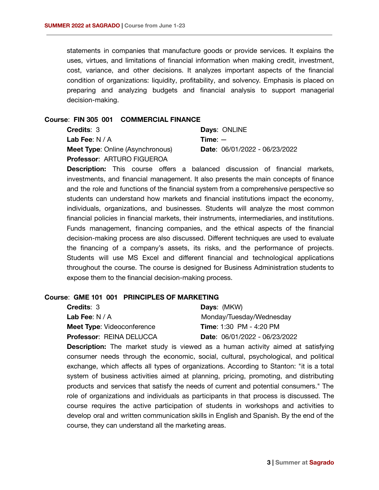statements in companies that manufacture goods or provide services. It explains the uses, virtues, and limitations of financial information when making credit, investment, cost, variance, and other decisions. It analyzes important aspects of the financial condition of organizations: liquidity, profitability, and solvency. Emphasis is placed on preparing and analyzing budgets and financial analysis to support managerial decision-making.

#### **Course**: **FIN 305 001 COMMERCIAL FINANCE**

| <b>Credits: 3</b>                       | Days: ONLINE                  |
|-----------------------------------------|-------------------------------|
| Lab Fee: $N/A$                          | $Time: -$                     |
| <b>Meet Type: Online (Asynchronous)</b> | Date: 06/01/2022 - 06/23/2022 |
| <b>Professor: ARTURO FIGUEROA</b>       |                               |

**Description:** This course offers a balanced discussion of financial markets, investments, and financial management. It also presents the main concepts of finance and the role and functions of the financial system from a comprehensive perspective so students can understand how markets and financial institutions impact the economy, individuals, organizations, and businesses. Students will analyze the most common financial policies in financial markets, their instruments, intermediaries, and institutions. Funds management, financing companies, and the ethical aspects of the financial decision-making process are also discussed. Different techniques are used to evaluate the financing of a company's assets, its risks, and the performance of projects. Students will use MS Excel and different financial and technological applications throughout the course. The course is designed for Business Administration students to expose them to the financial decision-making process.

#### **Course**: **GME 101 001 PRINCIPLES OF MARKETING**

| <b>Credits: 3</b>                 | <b>Days: (MKW)</b>                   |
|-----------------------------------|--------------------------------------|
| <b>Lab Fee:</b> $N/A$             | Monday/Tuesday/Wednesday             |
| <b>Meet Type: Videoconference</b> | <b>Time:</b> 1:30 PM - 4:20 PM       |
| <b>Professor: REINA DELUCCA</b>   | <b>Date: 06/01/2022 - 06/23/2022</b> |

**Description:** The market study is viewed as a human activity aimed at satisfying consumer needs through the economic, social, cultural, psychological, and political exchange, which affects all types of organizations. According to Stanton: "it is a total system of business activities aimed at planning, pricing, promoting, and distributing products and services that satisfy the needs of current and potential consumers." The role of organizations and individuals as participants in that process is discussed. The course requires the active participation of students in workshops and activities to develop oral and written communication skills in English and Spanish. By the end of the course, they can understand all the marketing areas.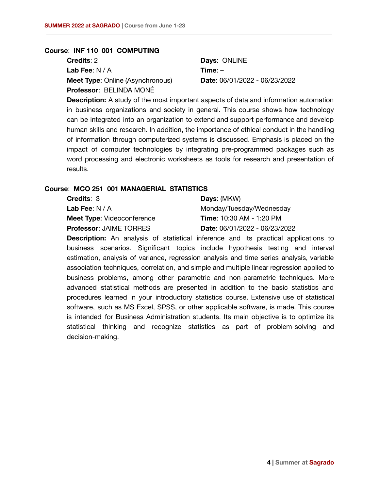#### **Course**: **INF 110 001 COMPUTING**

| <b>Credits:</b> 2                       | Days: ONLINE                  |
|-----------------------------------------|-------------------------------|
| <b>Lab Fee</b> : N / A                  | $Time: -$                     |
| <b>Meet Type:</b> Online (Asynchronous) | Date: 06/01/2022 - 06/23/2022 |
| Professor: BELINDA MONÉ                 |                               |

**Description:** A study of the most important aspects of data and information automation in business organizations and society in general. This course shows how technology can be integrated into an organization to extend and support performance and develop human skills and research. In addition, the importance of ethical conduct in the handling of information through computerized systems is discussed. Emphasis is placed on the impact of computer technologies by integrating pre-programmed packages such as word processing and electronic worksheets as tools for research and presentation of results.

### **Course**: **MCO 251 001 MANAGERIAL STATISTICS**

| Days: (MKW)                          |
|--------------------------------------|
| Monday/Tuesday/Wednesday             |
| <b>Time: 10:30 AM - 1:20 PM</b>      |
| <b>Date: 06/01/2022 - 06/23/2022</b> |
|                                      |

**Description:** An analysis of statistical inference and its practical applications to business scenarios. Significant topics include hypothesis testing and interval estimation, analysis of variance, regression analysis and time series analysis, variable association techniques, correlation, and simple and multiple linear regression applied to business problems, among other parametric and non-parametric techniques. More advanced statistical methods are presented in addition to the basic statistics and procedures learned in your introductory statistics course. Extensive use of statistical software, such as MS Excel, SPSS, or other applicable software, is made. This course is intended for Business Administration students. Its main objective is to optimize its statistical thinking and recognize statistics as part of problem-solving and decision-making.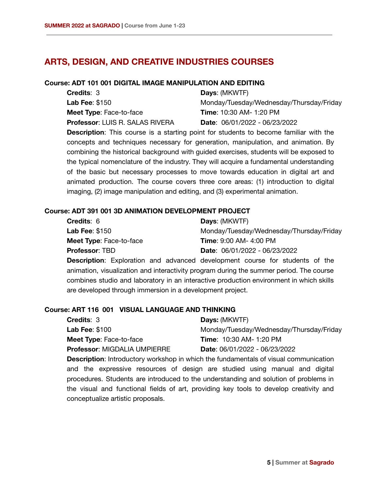# **ARTS, DESIGN, AND CREATIVE INDUSTRIES COURSES**

### **Course: ADT 101 001 DIGITAL IMAGE MANIPULATION AND EDITING**

| <b>Credits: 3</b>                      | Days: (MKWTF)                            |
|----------------------------------------|------------------------------------------|
| <b>Lab Fee: \$150</b>                  | Monday/Tuesday/Wednesday/Thursday/Friday |
| <b>Meet Type: Face-to-face</b>         | <b>Time: 10:30 AM- 1:20 PM</b>           |
| <b>Professor: LUIS R. SALAS RIVERA</b> | <b>Date:</b> $06/01/2022 - 06/23/2022$   |

**Description**: This course is a starting point for students to become familiar with the concepts and techniques necessary for generation, manipulation, and animation. By combining the historical background with guided exercises, students will be exposed to the typical nomenclature of the industry. They will acquire a fundamental understanding of the basic but necessary processes to move towards education in digital art and animated production. The course covers three core areas: (1) introduction to digital imaging, (2) image manipulation and editing, and (3) experimental animation.

### **Course: ADT 391 001 3D ANIMATION DEVELOPMENT PROJECT**

| <b>Credits: 6</b>              | Days: (MKWTF)                            |
|--------------------------------|------------------------------------------|
| <b>Lab Fee: \$150</b>          | Monday/Tuesday/Wednesday/Thursday/Friday |
| <b>Meet Type: Face-to-face</b> | <b>Time: 9:00 AM- 4:00 PM</b>            |
| <b>Professor: TBD</b>          | Date: 06/01/2022 - 06/23/2022            |

**Description**: Exploration and advanced development course for students of the animation, visualization and interactivity program during the summer period. The course combines studio and laboratory in an interactive production environment in which skills are developed through immersion in a development project.

### **Course: ART 116 001 VISUAL LANGUAGE AND THINKING**

| <b>Credits: 3</b>                   | <b>Days: (MKWTF)</b>                                                                        |
|-------------------------------------|---------------------------------------------------------------------------------------------|
| <b>Lab Fee: \$100</b>               | Monday/Tuesday/Wednesday/Thursday/Friday                                                    |
| <b>Meet Type: Face-to-face</b>      | <b>Time: 10:30 AM- 1:20 PM</b>                                                              |
| <b>Professor: MIGDALIA UMPIERRE</b> | Date: 06/01/2022 - 06/23/2022                                                               |
|                                     | <b>Description:</b> Introductory workshop in which the fundamentals of visual communication |

**Description**: Introductory workshop in which the fundamentals of visual communication and the expressive resources of design are studied using manual and digital procedures. Students are introduced to the understanding and solution of problems in the visual and functional fields of art, providing key tools to develop creativity and conceptualize artistic proposals.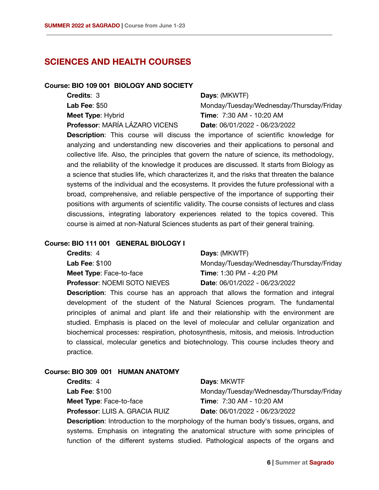# **SCIENCES AND HEALTH COURSES**

### **Course: BIO 109 001 BIOLOGY AND SOCIETY**

| <b>Credits: 3</b>              | Days: (MKWTF)                            |
|--------------------------------|------------------------------------------|
| <b>Lab Fee: \$50</b>           | Monday/Tuesday/Wednesday/Thursday/Friday |
| Meet Type: Hybrid              | <b>Time:</b> 7:30 AM - 10:20 AM          |
| Professor: MARÍA LÁZARO VICENS | Date: 06/01/2022 - 06/23/2022            |
|                                |                                          |

**Description**: This course will discuss the importance of scientific knowledge for analyzing and understanding new discoveries and their applications to personal and collective life. Also, the principles that govern the nature of science, its methodology, and the reliability of the knowledge it produces are discussed. It starts from Biology as a science that studies life, which characterizes it, and the risks that threaten the balance systems of the individual and the ecosystems. It provides the future professional with a broad, comprehensive, and reliable perspective of the importance of supporting their positions with arguments of scientific validity. The course consists of lectures and class discussions, integrating laboratory experiences related to the topics covered. This course is aimed at non-Natural Sciences students as part of their general training.

#### **Course: BIO 111 001 GENERAL BIOLOGY I**

| <b>Credits: 4</b>                   | <b>Days: (MKWTF)</b>                     |
|-------------------------------------|------------------------------------------|
| <b>Lab Fee: \$100</b>               | Monday/Tuesday/Wednesday/Thursday/Friday |
| <b>Meet Type: Face-to-face</b>      | <b>Time: 1:30 PM - 4:20 PM</b>           |
| <b>Professor: NOEMI SOTO NIEVES</b> | Date: 06/01/2022 - 06/23/2022            |

**Description**: This course has an approach that allows the formation and integral development of the student of the Natural Sciences program. The fundamental principles of animal and plant life and their relationship with the environment are studied. Emphasis is placed on the level of molecular and cellular organization and biochemical processes: respiration, photosynthesis, mitosis, and meiosis. Introduction to classical, molecular genetics and biotechnology. This course includes theory and practice.

### **Course: BIO 309 001 HUMAN ANATOMY**

**Credits**: 4 **Lab Fee**: \$100 **Meet Type**: Face-to-face **Professor**: LUIS A. GRACIA RUIZ

**Days**: MKWTF Monday/Tuesday/Wednesday/Thursday/Friday **Time**: 7:30 AM - 10:20 AM **Date**: 06/01/2022 - 06/23/2022

**Description:** Introduction to the morphology of the human body's tissues, organs, and systems. Emphasis on integrating the anatomical structure with some principles of function of the different systems studied. Pathological aspects of the organs and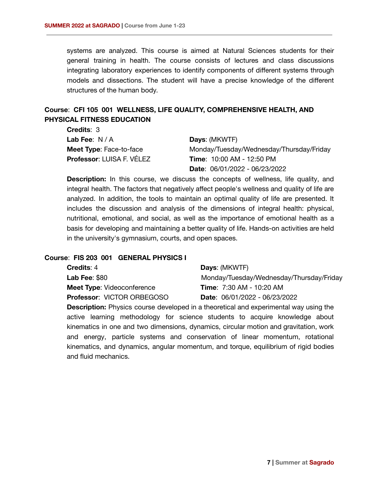**Credits**: 3

systems are analyzed. This course is aimed at Natural Sciences students for their general training in health. The course consists of lectures and class discussions integrating laboratory experiences to identify components of different systems through models and dissections. The student will have a precise knowledge of the different structures of the human body.

## **Course**: **CFI 105 001 WELLNESS, LIFE QUALITY, COMPREHENSIVE HEALTH, AND PHYSICAL FITNESS EDUCATION**

| UI GUILO. U                    |                                          |
|--------------------------------|------------------------------------------|
| Lab Fee: $N/A$                 | <b>Days: (MKWTF)</b>                     |
| <b>Meet Type: Face-to-face</b> | Monday/Tuesday/Wednesday/Thursday/Friday |
| Professor: LUISA F. VÉLEZ      | Time: 10:00 AM - 12:50 PM                |
|                                | <b>Date:</b> $06/01/2022 - 06/23/2022$   |

**Description:** In this course, we discuss the concepts of wellness, life quality, and integral health. The factors that negatively affect people's wellness and quality of life are analyzed. In addition, the tools to maintain an optimal quality of life are presented. It includes the discussion and analysis of the dimensions of integral health: physical, nutritional, emotional, and social, as well as the importance of emotional health as a basis for developing and maintaining a better quality of life. Hands-on activities are held in the university's gymnasium, courts, and open spaces.

#### **Course**: **FIS 203 001 GENERAL PHYSICS I**

| <b>Credits: 4</b>                 | Days: (MKWTF)                            |
|-----------------------------------|------------------------------------------|
| Lab Fee: $$80$                    | Monday/Tuesday/Wednesday/Thursday/Friday |
| <b>Meet Type: Videoconference</b> | <b>Time: 7:30 AM - 10:20 AM</b>          |
| <b>Professor: VICTOR ORBEGOSO</b> | <b>Date:</b> $06/01/2022 - 06/23/2022$   |
|                                   |                                          |

**Description:** Physics course developed in a theoretical and experimental way using the active learning methodology for science students to acquire knowledge about kinematics in one and two dimensions, dynamics, circular motion and gravitation, work and energy, particle systems and conservation of linear momentum, rotational kinematics, and dynamics, angular momentum, and torque, equilibrium of rigid bodies and fluid mechanics.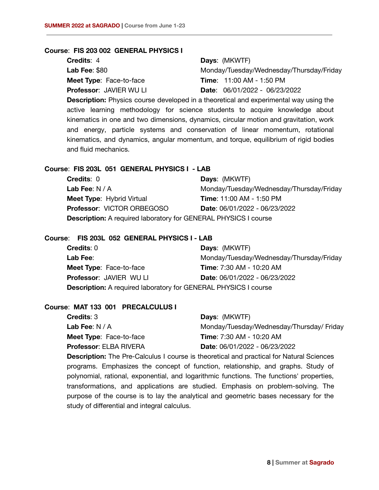#### **Course**: **FIS 203 002 GENERAL PHYSICS I**

| <b>Credits: 4</b>              | <b>Days: (MKWTF)</b>                     |
|--------------------------------|------------------------------------------|
| <b>Lab Fee: \$80</b>           | Monday/Tuesday/Wednesday/Thursday/Friday |
| <b>Meet Type: Face-to-face</b> | <b>Time: 11:00 AM - 1:50 PM</b>          |
| <b>Professor: JAVIER WU LI</b> | <b>Date:</b> $06/01/2022 - 06/23/2022$   |
|                                |                                          |

**Description:** Physics course developed in a theoretical and experimental way using the active learning methodology for science students to acquire knowledge about kinematics in one and two dimensions, dynamics, circular motion and gravitation, work and energy, particle systems and conservation of linear momentum, rotational kinematics, and dynamics, angular momentum, and torque, equilibrium of rigid bodies and fluid mechanics.

#### **Course**: **FIS 203L 051 GENERAL PHYSICS I - LAB**

| <b>Credits: 0</b>                                                      | <b>Days: (MKWTF)</b>                     |
|------------------------------------------------------------------------|------------------------------------------|
| Lab Fee: $N/A$                                                         | Monday/Tuesday/Wednesday/Thursday/Friday |
| <b>Meet Type:</b> Hybrid Virtual                                       | <b>Time: 11:00 AM - 1:50 PM</b>          |
| <b>Professor: VICTOR ORBEGOSO</b>                                      | Date: 06/01/2022 - 06/23/2022            |
| <b>Description:</b> A required laboratory for GENERAL PHYSICS I course |                                          |

#### **Course**: **FIS 203L 052 GENERAL PHYSICS I - LAB**

| <b>Credits: 0</b>                                                      | Days: (MKWTF)                            |
|------------------------------------------------------------------------|------------------------------------------|
| Lab Fee:                                                               | Monday/Tuesday/Wednesday/Thursday/Friday |
| <b>Meet Type: Face-to-face</b>                                         | <b>Time: 7:30 AM - 10:20 AM</b>          |
| <b>Professor: JAVIER WU LI</b>                                         | Date: 06/01/2022 - 06/23/2022            |
| <b>Description:</b> A required laboratory for GENERAL PHYSICS I course |                                          |

### **Course**: **MAT 133 001 PRECALCULUS I**

| <b>Credits: 3</b>              | <b>Days: (MKWTF)</b>                     |
|--------------------------------|------------------------------------------|
| Lab Fee: $N/A$                 | Monday/Tuesday/Wednesday/Thursday/Friday |
| <b>Meet Type: Face-to-face</b> | <b>Time: 7:30 AM - 10:20 AM</b>          |
| <b>Professor: ELBA RIVERA</b>  | Date: 06/01/2022 - 06/23/2022            |

**Description:** The Pre-Calculus I course is theoretical and practical for Natural Sciences programs. Emphasizes the concept of function, relationship, and graphs. Study of polynomial, rational, exponential, and logarithmic functions. The functions' properties, transformations, and applications are studied. Emphasis on problem-solving. The purpose of the course is to lay the analytical and geometric bases necessary for the study of differential and integral calculus.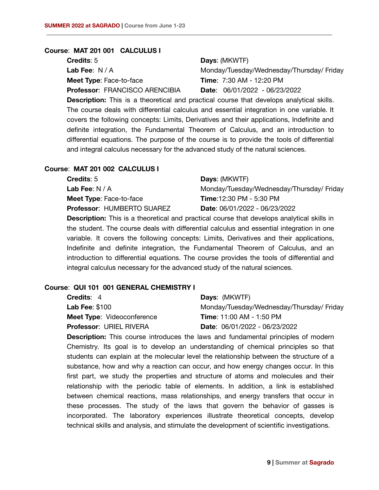#### **Course**: **MAT 201 001 CALCULUS I**

**Credits**: 5 **Lab Fee**: N / A **Meet Type**: Face-to-face **Professor**: FRANCISCO ARENCIBIA

### **Days**: (MKWTF)

Monday/Tuesday/Wednesday/Thursday/ Friday **Time**: 7:30 AM - 12:20 PM **Date**: 06/01/2022 - 06/23/2022

**Description:** This is a theoretical and practical course that develops analytical skills. The course deals with differential calculus and essential integration in one variable. It covers the following concepts: Limits, Derivatives and their applications, Indefinite and definite integration, the Fundamental Theorem of Calculus, and an introduction to differential equations. The purpose of the course is to provide the tools of differential and integral calculus necessary for the advanced study of the natural sciences.

#### **Course**: **MAT 201 002 CALCULUS I**

| <b>Credits:</b> 5              | Days: (MKWTF)                            |
|--------------------------------|------------------------------------------|
| <b>Lab Fee</b> : N / A         | Monday/Tuesday/Wednesday/Thursday/Friday |
| <b>Meet Type:</b> Face-to-face | <b>Time: 12:30 PM - 5:30 PM</b>          |
| Professor: HUMBERTO SUAREZ     | <b>Date: 06/01/2022 - 06/23/2022</b>     |
|                                |                                          |

**Description:** This is a theoretical and practical course that develops analytical skills in the student. The course deals with differential calculus and essential integration in one variable. It covers the following concepts: Limits, Derivatives and their applications, Indefinite and definite integration, the Fundamental Theorem of Calculus, and an introduction to differential equations. The course provides the tools of differential and integral calculus necessary for the advanced study of the natural sciences.

#### **Course**: **QUI 101 001 GENERAL CHEMISTRY I**

| <b>Credits: 4</b>                 | <b>Days: (MKWTF)</b>                     |
|-----------------------------------|------------------------------------------|
| Lab Fee: $$100$                   | Monday/Tuesday/Wednesday/Thursday/Friday |
| <b>Meet Type: Videoconference</b> | <b>Time: 11:00 AM - 1:50 PM</b>          |
| <b>Professor: URIEL RIVERA</b>    | <b>Date: 06/01/2022 - 06/23/2022</b>     |

**Description:** This course introduces the laws and fundamental principles of modern Chemistry. Its goal is to develop an understanding of chemical principles so that students can explain at the molecular level the relationship between the structure of a substance, how and why a reaction can occur, and how energy changes occur. In this first part, we study the properties and structure of atoms and molecules and their relationship with the periodic table of elements. In addition, a link is established between chemical reactions, mass relationships, and energy transfers that occur in these processes. The study of the laws that govern the behavior of gasses is incorporated. The laboratory experiences illustrate theoretical concepts, develop technical skills and analysis, and stimulate the development of scientific investigations.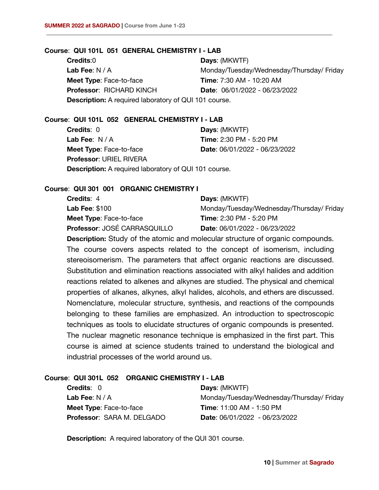#### **Course**: **QUI 101L 051 GENERAL CHEMISTRY I - LAB**

**Credits**:0 **Lab Fee**: N / A **Meet Type**: Face-to-face **Professor**: RICHARD KINCH **Days**: (MKWTF) Monday/Tuesday/Wednesday/Thursday/ Friday **Time**: 7:30 AM - 10:20 AM **Date**: 06/01/2022 - 06/23/2022 **Description:** A required laboratory of QUI 101 course.

### **Course**: **QUI 101L 052 GENERAL CHEMISTRY I - LAB**

**Credits**: 0 **Lab Fee**: N / A **Meet Type**: Face-to-face **Professor**: URIEL RIVERA **Days**: (MKWTF) **Time**: 2:30 PM - 5:20 PM **Date**: 06/01/2022 - 06/23/2022 **Description:** A required laboratory of QUI 101 course.

### **Course**: **QUI 301 001 ORGANIC CHEMISTRY I**

| <b>Credits: 4</b>              | <b>Days: (MKWTF)</b>                     |
|--------------------------------|------------------------------------------|
| <b>Lab Fee: \$100</b>          | Monday/Tuesday/Wednesday/Thursday/Friday |
| <b>Meet Type: Face-to-face</b> | <b>Time: 2:30 PM - 5:20 PM</b>           |
| Professor: JOSÉ CARRASQUILLO   | Date: 06/01/2022 - 06/23/2022            |

**Description:** Study of the atomic and molecular structure of organic compounds. The course covers aspects related to the concept of isomerism, including stereoisomerism. The parameters that affect organic reactions are discussed. Substitution and elimination reactions associated with alkyl halides and addition reactions related to alkenes and alkynes are studied. The physical and chemical properties of alkanes, alkynes, alkyl halides, alcohols, and ethers are discussed. Nomenclature, molecular structure, synthesis, and reactions of the compounds belonging to these families are emphasized. An introduction to spectroscopic techniques as tools to elucidate structures of organic compounds is presented. The nuclear magnetic resonance technique is emphasized in the first part. This course is aimed at science students trained to understand the biological and industrial processes of the world around us.

### **Course**: **QUI 301L 052 ORGANIC CHEMISTRY I - LAB**

**Credits**: 0 **Lab Fee**: N / A **Meet Type**: Face-to-face **Professor**: SARA M. DELGADO **Days**: (MKWTF) Monday/Tuesday/Wednesday/Thursday/ Friday **Time**: 11:00 AM - 1:50 PM **Date**: 06/01/2022 - 06/23/2022

**Description:** A required laboratory of the QUI 301 course.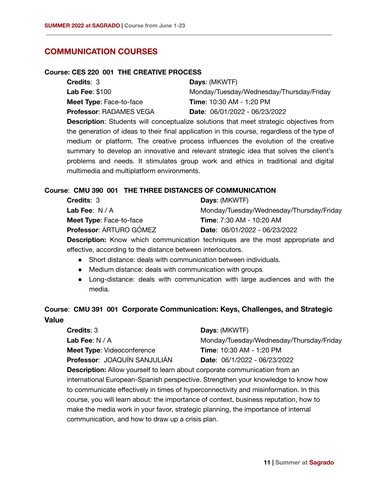## **COMMUNICATION COURSES**

#### **Course: CES 220 001 THE CREATIVE PROCESS**

| <b>Credits: 3</b>              | Days: (MKWTF)                            |
|--------------------------------|------------------------------------------|
| <b>Lab Fee: \$100</b>          | Monday/Tuesday/Wednesday/Thursday/Friday |
| <b>Meet Type: Face-to-face</b> | <b>Time: 10:30 AM - 1:20 PM</b>          |
| <b>Professor: RADAMES VEGA</b> | <b>Date: 06/01/2022 - 06/23/2022</b>     |

**Description**: Students will conceptualize solutions that meet strategic objectives from the generation of ideas to their final application in this course, regardless of the type of medium or platform. The creative process influences the evolution of the creative summary to develop an innovative and relevant strategic idea that solves the client's problems and needs. It stimulates group work and ethics in traditional and digital multimedia and multiplatform environments.

### **Course**: **CMU 390 001 THE THREE DISTANCES OF COMMUNICATION**

| <b>Credits: 3</b>              | Days: (MKWTF)                                                                        |
|--------------------------------|--------------------------------------------------------------------------------------|
| Lab Fee: $N/A$                 | Monday/Tuesday/Wednesday/Thursday/Friday                                             |
| <b>Meet Type: Face-to-face</b> | <b>Time: 7:30 AM - 10:20 AM</b>                                                      |
| Professor: ARTURO GÓMEZ        | Date: 06/01/2022 - 06/23/2022                                                        |
|                                | <b>Description:</b> Know which communication techniques are the most appropriate and |

effective, according to the distance between interlocutors.

- Short distance: deals with communication between individuals.
- Medium distance: deals with communication with groups.
- Long-distance: deals with communication with large audiences and with the media.

# **Course**: **CMU 391 001 Corporate Communication: Keys, Challenges, and Strategic Value**

| <b>Credits: 3</b>                                                                 | Days: (MKWTF)                            |
|-----------------------------------------------------------------------------------|------------------------------------------|
| Lab Fee: $N/A$                                                                    | Monday/Tuesday/Wednesday/Thursday/Friday |
| <b>Meet Type: Videoconference</b>                                                 | <b>Time: 10:30 AM - 1:20 PM</b>          |
| Professor: JOAQUÍN SANJULIÁN                                                      | Date: 06/1/2022 - 06/23/2022             |
| <b>Description:</b> Allow yourself to learn about corporate communication from an |                                          |

international European-Spanish perspective. Strengthen your knowledge to know how to communicate effectively in times of hyperconnectivity and misinformation. In this course, you will learn about: the importance of context, business reputation, how to make the media work in your favor, strategic planning, the importance of internal communication, and how to draw up a crisis plan.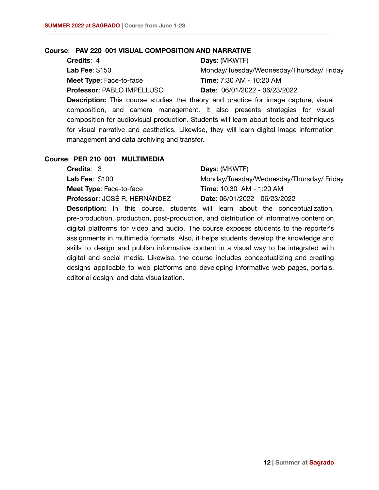### **Course**: **PAV 220 001 VISUAL COMPOSITION AND NARRATIVE**

| <b>Credits: 4</b>                 | <b>Days: (MKWTF)</b>                     |
|-----------------------------------|------------------------------------------|
| <b>Lab Fee: \$150</b>             | Monday/Tuesday/Wednesday/Thursday/Friday |
| <b>Meet Type: Face-to-face</b>    | <b>Time: 7:30 AM - 10:20 AM</b>          |
| <b>Professor: PABLO IMPELLUSO</b> | Date: 06/01/2022 - 06/23/2022            |
|                                   |                                          |

**Description:** This course studies the theory and practice for image capture, visual composition, and camera management. It also presents strategies for visual composition for audiovisual production. Students will learn about tools and techniques for visual narrative and aesthetics. Likewise, they will learn digital image information management and data archiving and transfer.

#### **Course**: **PER 210 001 MULTIMEDIA**

| <b>Credits: 3</b>              | <b>Days: (MKWTF)</b>                     |
|--------------------------------|------------------------------------------|
| <b>Lab Fee: \$100</b>          | Monday/Tuesday/Wednesday/Thursday/Friday |
| <b>Meet Type: Face-to-face</b> | <b>Time: 10:30 AM - 1:20 AM</b>          |
| Professor: JOSÉ R. HERNÁNDEZ   | Date: 06/01/2022 - 06/23/2022            |

**Description:** In this course, students will learn about the conceptualization, pre-production, production, post-production, and distribution of informative content on digital platforms for video and audio. The course exposes students to the reporter's assignments in multimedia formats. Also, it helps students develop the knowledge and skills to design and publish informative content in a visual way to be integrated with digital and social media. Likewise, the course includes conceptualizing and creating designs applicable to web platforms and developing informative web pages, portals, editorial design, and data visualization.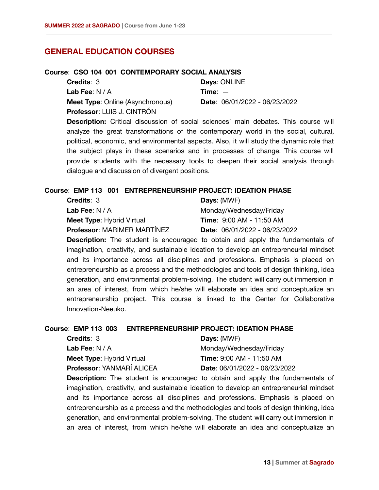## **GENERAL EDUCATION COURSES**

#### **Course**: **CSO 104 001 CONTEMPORARY SOCIAL ANALYSIS**

| <b>Credits: 3</b>                       | Days: ONLINE                  |
|-----------------------------------------|-------------------------------|
| <b>Lab Fee</b> : N / A                  | $Time: -$                     |
| <b>Meet Type:</b> Online (Asynchronous) | Date: 06/01/2022 - 06/23/2022 |
| Professor: LUIS J. CINTRÓN              |                               |

**Description:** Critical discussion of social sciences' main debates. This course will analyze the great transformations of the contemporary world in the social, cultural, political, economic, and environmental aspects. Also, it will study the dynamic role that the subject plays in these scenarios and in processes of change. This course will provide students with the necessary tools to deepen their social analysis through dialogue and discussion of divergent positions.

### **Course**: **EMP 113 001 ENTREPRENEURSHIP PROJECT: IDEATION PHASE**

| <b>Credits: 3</b>                  | Days: (MWF)                          |
|------------------------------------|--------------------------------------|
| Lab Fee: $N/A$                     | Monday/Wednesday/Friday              |
| <b>Meet Type: Hybrid Virtual</b>   | <b>Time: 9:00 AM - 11:50 AM</b>      |
| <b>Professor: MARIMER MARTÍNEZ</b> | <b>Date: 06/01/2022 - 06/23/2022</b> |

**Description:** The student is encouraged to obtain and apply the fundamentals of imagination, creativity, and sustainable ideation to develop an entrepreneurial mindset and its importance across all disciplines and professions. Emphasis is placed on entrepreneurship as a process and the methodologies and tools of design thinking, idea generation, and environmental problem-solving. The student will carry out immersion in an area of interest, from which he/she will elaborate an idea and conceptualize an entrepreneurship project. This course is linked to the Center for Collaborative Innovation-Neeuko.

### **Course**: **EMP 113 003 ENTREPRENEURSHIP PROJECT: IDEATION PHASE**

| <b>Credits: 3</b>                | Days: (MWF)                          |
|----------------------------------|--------------------------------------|
| Lab Fee: $N/A$                   | Monday/Wednesday/Friday              |
| <b>Meet Type: Hybrid Virtual</b> | <b>Time: 9:00 AM - 11:50 AM</b>      |
| Professor: YANMARÍ ALICEA        | <b>Date: 06/01/2022 - 06/23/2022</b> |

**Description:** The student is encouraged to obtain and apply the fundamentals of imagination, creativity, and sustainable ideation to develop an entrepreneurial mindset and its importance across all disciplines and professions. Emphasis is placed on entrepreneurship as a process and the methodologies and tools of design thinking, idea generation, and environmental problem-solving. The student will carry out immersion in an area of interest, from which he/she will elaborate an idea and conceptualize an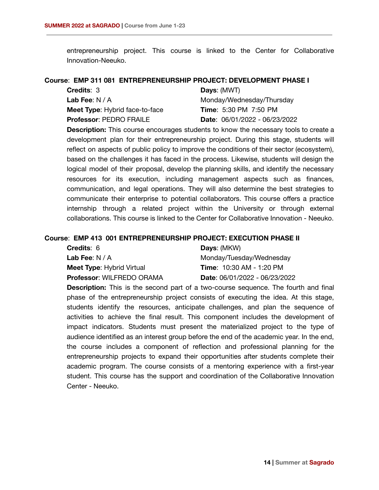entrepreneurship project. This course is linked to the Center for Collaborative Innovation-Neeuko.

#### **Course**: **EMP 311 081 ENTREPRENEURSHIP PROJECT: DEVELOPMENT PHASE I**

| <b>Credits: 3</b>                     | Days: (MWT)                   |
|---------------------------------------|-------------------------------|
| Lab Fee: $N/A$                        | Monday/Wednesday/Thursday     |
| <b>Meet Type:</b> Hybrid face-to-face | <b>Time:</b> 5:30 PM 7:50 PM  |
| <b>Professor: PEDRO FRAILE</b>        | Date: 06/01/2022 - 06/23/2022 |

**Description:** This course encourages students to know the necessary tools to create a development plan for their entrepreneurship project. During this stage, students will reflect on aspects of public policy to improve the conditions of their sector (ecosystem), based on the challenges it has faced in the process. Likewise, students will design the logical model of their proposal, develop the planning skills, and identify the necessary resources for its execution, including management aspects such as finances, communication, and legal operations. They will also determine the best strategies to communicate their enterprise to potential collaborators. This course offers a practice internship through a related project within the University or through external collaborations. This course is linked to the Center for Collaborative Innovation - Neeuko.

#### **Course**: **EMP 413 001 ENTREPRENEURSHIP PROJECT: EXECUTION PHASE II**

| <b>Credits: 6</b>                | Days: (MKW)                     |
|----------------------------------|---------------------------------|
| Lab Fee: $N/A$                   | Monday/Tuesday/Wednesday        |
| <b>Meet Type: Hybrid Virtual</b> | <b>Time: 10:30 AM - 1:20 PM</b> |
| <b>Professor: WILFREDO ORAMA</b> | Date: 06/01/2022 - 06/23/2022   |

**Description:** This is the second part of a two-course sequence. The fourth and final phase of the entrepreneurship project consists of executing the idea. At this stage, students identify the resources, anticipate challenges, and plan the sequence of activities to achieve the final result. This component includes the development of impact indicators. Students must present the materialized project to the type of audience identified as an interest group before the end of the academic year. In the end, the course includes a component of reflection and professional planning for the entrepreneurship projects to expand their opportunities after students complete their academic program. The course consists of a mentoring experience with a first-year student. This course has the support and coordination of the Collaborative Innovation Center - Neeuko.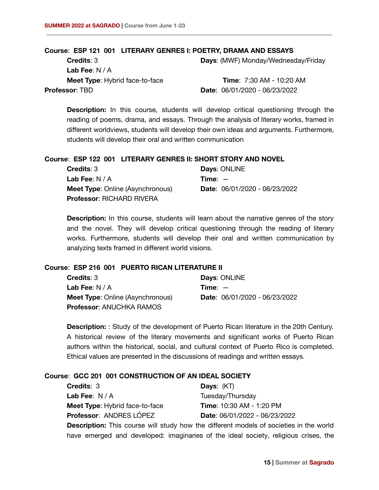#### **Course**: **ESP 121 001 LITERARY GENRES I: POETRY, DRAMA AND ESSAYS**

**Credits**: 3 **Lab Fee**: N / A **Days**: (MWF) Monday/Wednesday/Friday

**Meet Type**: Hybrid face-to-face **Professor**: TBD

**Time**: 7:30 AM - 10:20 AM **Date**: 06/01/2020 - 06/23/2022

**Description:** In this course, students will develop critical questioning through the reading of poems, drama, and essays. Through the analysis of literary works, framed in different worldviews, students will develop their own ideas and arguments. Furthermore, students will develop their oral and written communication

#### **Course**: **ESP 122 001 LITERARY GENRES II: SHORT STORY AND NOVEL**

| <b>Credits: 3</b>                       | Days: ONLINE                  |
|-----------------------------------------|-------------------------------|
| Lab Fee: $N/A$                          | $Time: -$                     |
| <b>Meet Type: Online (Asynchronous)</b> | Date: 06/01/2020 - 06/23/2022 |
| <b>Professor: RICHARD RIVERA</b>        |                               |

**Description:** In this course, students will learn about the narrative genres of the story and the novel. They will develop critical questioning through the reading of literary works. Furthermore, students will develop their oral and written communication by analyzing texts framed in different world visions.

#### **Course**: **ESP 216 001 PUERTO RICAN LITERATURE II**

| <b>Credits: 3</b>                       | Days: ONLINE                  |
|-----------------------------------------|-------------------------------|
| Lab Fee: $N/A$                          | $Time: -$                     |
| <b>Meet Type: Online (Asynchronous)</b> | Date: 06/01/2020 - 06/23/2022 |
| <b>Professor: ANUCHKA RAMOS</b>         |                               |

**Description:** : Study of the development of Puerto Rican literature in the 20th Century. A historical review of the literary movements and significant works of Puerto Rican authors within the historical, social, and cultural context of Puerto Rico is completed. Ethical values are presented in the discussions of readings and written essays.

### **Course**: **GCC 201 001 CONSTRUCTION OF AN IDEAL SOCIETY**

| <b>Credits: 3</b>                                                                             | <b>Days:</b> $(KT)$             |
|-----------------------------------------------------------------------------------------------|---------------------------------|
| Lab Fee: $N/A$                                                                                | Tuesday/Thursday                |
| <b>Meet Type:</b> Hybrid face-to-face                                                         | <b>Time: 10:30 AM - 1:20 PM</b> |
| Professor: ANDRES LÓPEZ                                                                       | Date: 06/01/2022 - 06/23/2022   |
| <b>Description:</b> This course will study how the different models of societies in the world |                                 |

have emerged and developed: imaginaries of the ideal society, religious crises, the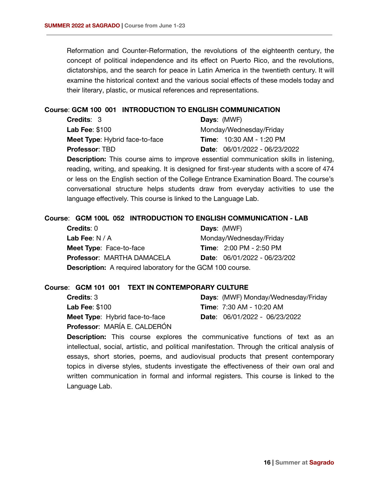Reformation and Counter-Reformation, the revolutions of the eighteenth century, the concept of political independence and its effect on Puerto Rico, and the revolutions, dictatorships, and the search for peace in Latin America in the twentieth century. It will examine the historical context and the various social effects of these models today and their literary, plastic, or musical references and representations.

### **Course**: **GCM 100 001 INTRODUCTION TO ENGLISH COMMUNICATION**

| <b>Credits: 3</b>                     | <b>Days: (MWF)</b>                |
|---------------------------------------|-----------------------------------|
| Lab Fee: $$100$                       | Monday/Wednesday/Friday           |
| <b>Meet Type:</b> Hybrid face-to-face | <b>Time:</b> $10:30$ AM - 1:20 PM |
| <b>Professor: TBD</b>                 | Date: 06/01/2022 - 06/23/2022     |

**Description:** This course aims to improve essential communication skills in listening, reading, writing, and speaking. It is designed for first-year students with a score of 474 or less on the English section of the College Entrance Examination Board. The course's conversational structure helps students draw from everyday activities to use the language effectively. This course is linked to the Language Lab.

### **Course**: **GCM 100L 052 INTRODUCTION TO ENGLISH COMMUNICATION - LAB**

| Credits: 0                                                        | <b>Days: (MWF)</b>             |  |
|-------------------------------------------------------------------|--------------------------------|--|
| Lab Fee: $N/A$                                                    | Monday/Wednesday/Friday        |  |
| <b>Meet Type: Face-to-face</b>                                    | <b>Time: 2:00 PM - 2:50 PM</b> |  |
| <b>Professor: MARTHA DAMACELA</b>                                 | Date: 06/01/2022 - 06/23/202   |  |
| <b>Description:</b> A required laboratory for the GCM 100 course. |                                |  |

### **Course**: **GCM 101 001 TEXT IN CONTEMPORARY CULTURE**

| <b>Credits: 3</b>                     |
|---------------------------------------|
| <b>Lab Fee: \$100</b>                 |
| <b>Meet Type:</b> Hybrid face-to-face |
| Professor: MARÍA E. CALDERÓN          |

**Days**: (MWF) Monday/Wednesday/Friday **Time**: 7:30 AM - 10:20 AM **Date**: 06/01/2022 - 06/23/2022

**Description:** This course explores the communicative functions of text as an intellectual, social, artistic, and political manifestation. Through the critical analysis of essays, short stories, poems, and audiovisual products that present contemporary topics in diverse styles, students investigate the effectiveness of their own oral and written communication in formal and informal registers. This course is linked to the Language Lab.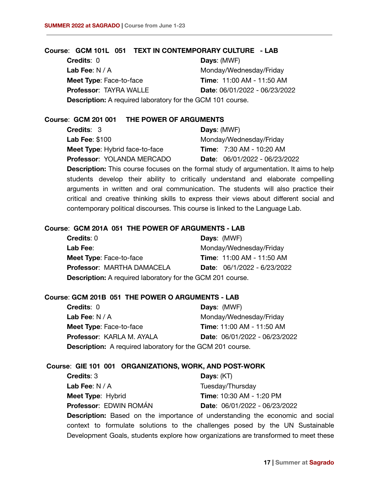#### **Course**: **GCM 101L 051 TEXT IN CONTEMPORARY CULTURE - LAB**

**Credits**: 0 **Lab Fee**: N / A **Meet Type**: Face-to-face **Professor**: TAYRA WALLE **Days**: (MWF) Monday/Wednesday/Friday **Time**: 11:00 AM - 11:50 AM **Date**: 06/01/2022 - 06/23/2022 **Description:** A required laboratory for the GCM 101 course.

**Course**: **GCM 201 001 THE POWER OF ARGUMENTS**

| <b>Credits: 3</b>                     | Days: (MWF)                         |
|---------------------------------------|-------------------------------------|
| <b>Lab Fee: \$100</b>                 | Monday/Wednesday/Friday             |
| <b>Meet Type:</b> Hybrid face-to-face | <b>Time:</b> $7:30$ AM - $10:20$ AM |
| Professor: YOLANDA MERCADO            | Date: 06/01/2022 - 06/23/2022       |

**Description:** This course focuses on the formal study of argumentation. It aims to help students develop their ability to critically understand and elaborate compelling arguments in written and oral communication. The students will also practice their critical and creative thinking skills to express their views about different social and contemporary political discourses. This course is linked to the Language Lab.

### **Course**: **GCM 201A 051 THE POWER OF ARGUMENTS - LAB**

| <b>Credits: 0</b>                                                 | Days: (MWF)                      |
|-------------------------------------------------------------------|----------------------------------|
| Lab Fee:                                                          | Monday/Wednesday/Friday          |
| <b>Meet Type: Face-to-face</b>                                    | <b>Time: 11:00 AM - 11:50 AM</b> |
| Professor: MARTHA DAMACELA                                        | Date: 06/1/2022 - 6/23/2022      |
| <b>Description:</b> A required laboratory for the GCM 201 course. |                                  |

### **Course**: **GCM 201B 051 THE POWER O ARGUMENTS - LAB**

| <b>Credits: 0</b>                                                 | <b>Days: (MWF)</b>            |
|-------------------------------------------------------------------|-------------------------------|
| Lab Fee: $N/A$                                                    | Monday/Wednesday/Friday       |
| Meet Type: Face-to-face                                           | Time: 11:00 AM - 11:50 AM     |
| <b>Professor: KARLA M. AYALA</b>                                  | Date: 06/01/2022 - 06/23/2022 |
| <b>Description:</b> A required laboratory for the GCM 201 course. |                               |

### **Course**: **GIE 101 001 ORGANIZATIONS, WORK, AND POST-WORK**

| <b>Credits: 3</b>        | Days: $(KT)$                    |
|--------------------------|---------------------------------|
| <b>Lab Fee</b> : N / A   | Tuesday/Thursday                |
| <b>Meet Type: Hybrid</b> | <b>Time: 10:30 AM - 1:20 PM</b> |
| Professor: EDWIN ROMÁN   | Date: 06/01/2022 - 06/23/2022   |
|                          |                                 |

**Description:** Based on the importance of understanding the economic and social context to formulate solutions to the challenges posed by the UN Sustainable Development Goals, students explore how organizations are transformed to meet these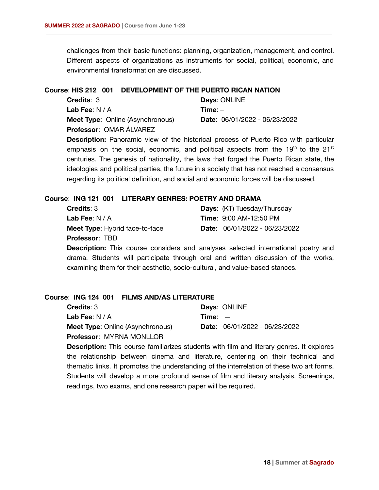challenges from their basic functions: planning, organization, management, and control. Different aspects of organizations as instruments for social, political, economic, and environmental transformation are discussed.

### **Course**: **HIS 212 001 DEVELOPMENT OF THE PUERTO RICAN NATION**

| <b>Credits: 3</b>                       | Days: ONLINE                  |
|-----------------------------------------|-------------------------------|
| <b>Lab Fee:</b> $N/A$                   | $Time: -$                     |
| <b>Meet Type:</b> Online (Asynchronous) | Date: 06/01/2022 - 06/23/2022 |
| Professor: OMAR ÁLVAREZ                 |                               |

**Description:** Panoramic view of the historical process of Puerto Rico with particular emphasis on the social, economic, and political aspects from the  $19<sup>th</sup>$  to the  $21<sup>st</sup>$ centuries. The genesis of nationality, the laws that forged the Puerto Rican state, the ideologies and political parties, the future in a society that has not reached a consensus regarding its political definition, and social and economic forces will be discussed.

### **Course**: **ING 121 001 LITERARY GENRES: POETRY AND DRAMA**

| <b>Credits: 3</b>                     | <b>Days:</b> (KT) Tuesday/Thursday     |
|---------------------------------------|----------------------------------------|
| Lab Fee: $N/A$                        | <b>Time: 9:00 AM-12:50 PM</b>          |
| <b>Meet Type:</b> Hybrid face-to-face | <b>Date:</b> $06/01/2022 - 06/23/2022$ |
| <b>Professor: TBD</b>                 |                                        |

**Description:** This course considers and analyses selected international poetry and drama. Students will participate through oral and written discussion of the works, examining them for their aesthetic, socio-cultural, and value-based stances.

### **Course**: **ING 124 001 FILMS AND/AS LITERATURE**

| <b>Credits: 3</b>                       | Days: ONLINE                  |
|-----------------------------------------|-------------------------------|
| <b>Lab Fee:</b> $N/A$                   | $Time: -$                     |
| <b>Meet Type:</b> Online (Asynchronous) | Date: 06/01/2022 - 06/23/2022 |
| <b>Professor: MYRNA MONLLOR</b>         |                               |

**Description:** This course familiarizes students with film and literary genres. It explores the relationship between cinema and literature, centering on their technical and thematic links. It promotes the understanding of the interrelation of these two art forms. Students will develop a more profound sense of film and literary analysis. Screenings, readings, two exams, and one research paper will be required.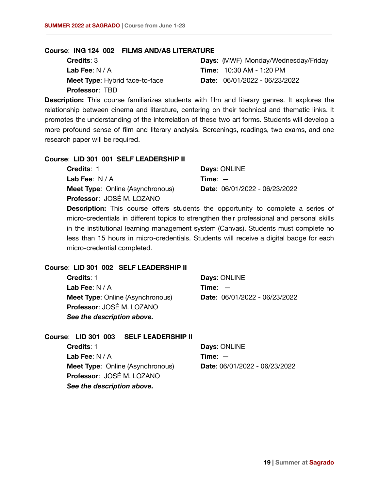#### **Course**: **ING 124 002 FILMS AND/AS LITERATURE**

| <b>Credits: 3</b>                     | <b>Days: (MWF) Monday/Wednesday/Friday</b> |
|---------------------------------------|--------------------------------------------|
| Lab Fee: $N/A$                        | <b>Time: 10:30 AM - 1:20 PM</b>            |
| <b>Meet Type:</b> Hybrid face-to-face | <b>Date:</b> $06/01/2022 - 06/23/2022$     |
| <b>Professor: TBD</b>                 |                                            |

**Description:** This course familiarizes students with film and literary genres. It explores the relationship between cinema and literature, centering on their technical and thematic links. It promotes the understanding of the interrelation of these two art forms. Students will develop a more profound sense of film and literary analysis. Screenings, readings, two exams, and one research paper will be required.

#### **Course**: **LID 301 001 SELF LEADERSHIP II**

| <b>Credits: 1</b>                       | Days: ONLINE                  |
|-----------------------------------------|-------------------------------|
| <b>Lab Fee:</b> $N/A$                   | $Time: -$                     |
| <b>Meet Type: Online (Asynchronous)</b> | Date: 06/01/2022 - 06/23/2022 |
| Professor: JOSÉ M. LOZANO               |                               |

**Description:** This course offers students the opportunity to complete a series of micro-credentials in different topics to strengthen their professional and personal skills in the institutional learning management system (Canvas). Students must complete no less than 15 hours in micro-credentials. Students will receive a digital badge for each micro-credential completed.

#### **Course**: **LID 301 002 SELF LEADERSHIP II**

| Credits: 1                              | Days: ONLINE                  |
|-----------------------------------------|-------------------------------|
| Lab Fee: $N/A$                          | Time: $-$                     |
| <b>Meet Type: Online (Asynchronous)</b> | Date: 06/01/2022 - 06/23/2022 |
| Professor: JOSÉ M. LOZANO               |                               |
| See the description above.              |                               |

## **Course**: **LID 301 003 SELF LEADERSHIP II**

| Credits: 1                              | Days: ONLINE                  |
|-----------------------------------------|-------------------------------|
| Lab Fee: $N/A$                          | $Time: -$                     |
| <b>Meet Type: Online (Asynchronous)</b> | Date: 06/01/2022 - 06/23/2022 |
| Professor: JOSÉ M. LOZANO               |                               |
| See the description above.              |                               |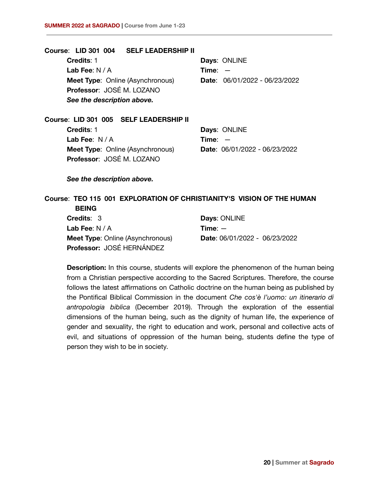**Course**: **LID 301 004 SELF LEADERSHIP II Credits**: 1 **Lab Fee**: N / A **Meet Type: Online (Asynchronous) Professor**: JOSÉ M. LOZANO **Days**: ONLINE **Time**: — **Date**: 06/01/2022 - 06/23/2022 *See the description above.* **Course**: **LID 301 005 SELF LEADERSHIP II Credits**: 1 **Days**: ONLINE

**Lab Fee**: N / A **Meet Type: Online (Asynchronous) Professor**: JOSÉ M. LOZANO **Time**: — **Date**: 06/01/2022 - 06/23/2022

*See the description above.*

## **Course**: **TEO 115 001 EXPLORATION OF CHRISTIANITY'S VISION OF THE HUMAN BEING**

| <b>Credits: 3</b>                       | Days: ONLINE                  |
|-----------------------------------------|-------------------------------|
| Lab Fee: $N/A$                          | $Time: -$                     |
| <b>Meet Type: Online (Asynchronous)</b> | Date: 06/01/2022 - 06/23/2022 |
| Professor: JOSÉ HERNÁNDEZ               |                               |

**Description:** In this course, students will explore the phenomenon of the human being from a Christian perspective according to the Sacred Scriptures. Therefore, the course follows the latest affirmations on Catholic doctrine on the human being as published by the Pontifical Biblical Commission in the document *Che cos'è l'uomo: un itinerario di antropologia biblica* (December 2019). Through the exploration of the essential dimensions of the human being, such as the dignity of human life, the experience of gender and sexuality, the right to education and work, personal and collective acts of evil, and situations of oppression of the human being, students define the type of person they wish to be in society.